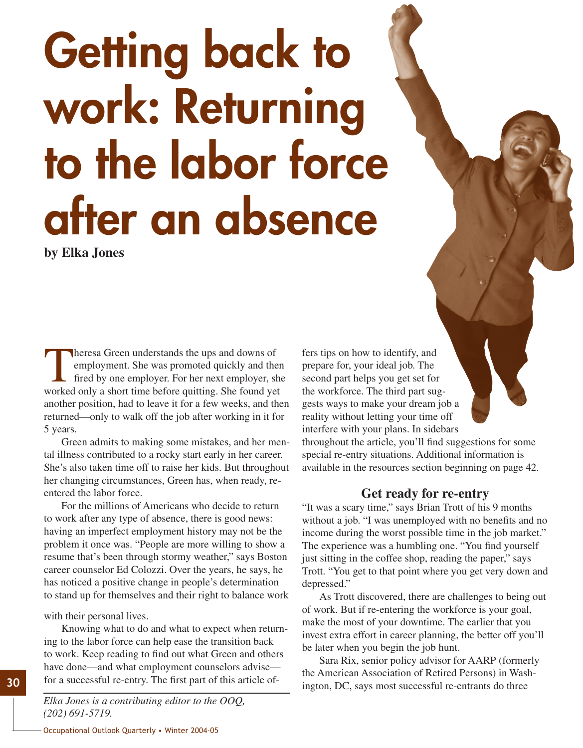# Getting back to work: Returning to the labor force after an absence

**by Elka Jones**

Theresa Green understands the ups and downs of<br>employment. She was promoted quickly and the<br>fired by one employer. For her next employer, she<br>worked only a short time hefore quitting. She found yet employment. She was promoted quickly and then fired by one employer. For her next employer, she worked only a short time before quitting. She found yet another position, had to leave it for a few weeks, and then returned—only to walk off the job after working in it for 5 years.

Green admits to making some mistakes, and her mental illness contributed to a rocky start early in her career. She's also taken time off to raise her kids. But throughout her changing circumstances, Green has, when ready, reentered the labor force.

For the millions of Americans who decide to return to work after any type of absence, there is good news: having an imperfect employment history may not be the problem it once was. "People are more willing to show a resume that's been through stormy weather," says Boston career counselor Ed Colozzi. Over the years, he says, he has noticed a positive change in people's determination to stand up for themselves and their right to balance work

with their personal lives.

Knowing what to do and what to expect when returning to the labor force can help ease the transition back to work. Keep reading to find out what Green and others have done—and what employment counselors advise for a successful re-entry. The first part of this article of-

*Elka Jones is a contributing editor to the OOQ, (202) 691-5719.*

fers tips on how to identify, and prepare for, your ideal job. The second part helps you get set for the workforce. The third part suggests ways to make your dream job a reality without letting your time off interfere with your plans. In sidebars

throughout the article, you'll find suggestions for some special re-entry situations. Additional information is available in the resources section beginning on page 42.

## **Get ready for re-entry**

"It was a scary time," says Brian Trott of his 9 months without a job. "I was unemployed with no benefits and no income during the worst possible time in the job market." The experience was a humbling one. "You find yourself just sitting in the coffee shop, reading the paper," says Trott. "You get to that point where you get very down and depressed."

As Trott discovered, there are challenges to being out of work. But if re-entering the workforce is your goal, make the most of your downtime. The earlier that you invest extra effort in career planning, the better off you'll be later when you begin the job hunt.

Sara Rix, senior policy advisor for AARP (formerly the American Association of Retired Persons) in Washington, DC, says most successful re-entrants do three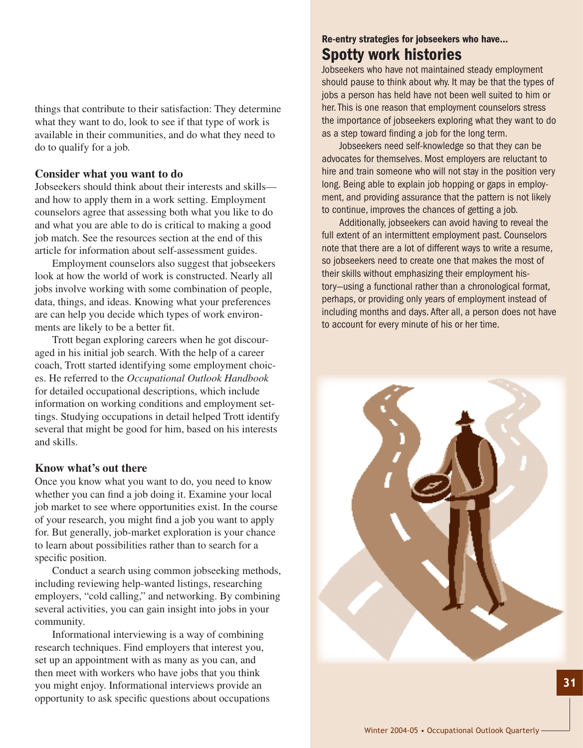things that contribute to their satisfaction: They determine what they want to do, look to see if that type of work is available in their communities, and do what they need to do to qualify for a job.

#### **Consider what you want to do**

Jobseekers should think about their interests and skills and how to apply them in a work setting. Employment counselors agree that assessing both what you like to do and what you are able to do is critical to making a good job match. See the resources section at the end of this article for information about self-assessment guides.

Employment counselors also suggest that jobseekers look at how the world of work is constructed. Nearly all jobs involve working with some combination of people, data, things, and ideas. Knowing what your preferences are can help you decide which types of work environments are likely to be a better fit.

Trott began exploring careers when he got discouraged in his initial job search. With the help of a career coach, Trott started identifying some employment choices. He referred to the *Occupational Outlook Handbook* for detailed occupational descriptions, which include information on working conditions and employment settings. Studying occupations in detail helped Trott identify several that might be good for him, based on his interests and skills.

## **Know what's out there**

Once you know what you want to do, you need to know whether you can find a job doing it. Examine your local job market to see where opportunities exist. In the course of your research, you might find a job you want to apply for. But generally, job-market exploration is your chance to learn about possibilities rather than to search for a specific position.

Conduct a search using common jobseeking methods, including reviewing help-wanted listings, researching employers, "cold calling," and networking. By combining several activities, you can gain insight into jobs in your community.

Informational interviewing is a way of combining research techniques. Find employers that interest you, set up an appointment with as many as you can, and then meet with workers who have jobs that you think you might enjoy. Informational interviews provide an opportunity to ask specific questions about occupations

# Re-entry strategies for jobseekers who have… Spotty work histories

Jobseekers who have not maintained steady employment should pause to think about why. It may be that the types of jobs a person has held have not been well suited to him or her. This is one reason that employment counselors stress the importance of jobseekers exploring what they want to do as a step toward finding a job for the long term.

Jobseekers need self-knowledge so that they can be advocates for themselves. Most employers are reluctant to hire and train someone who will not stay in the position very long. Being able to explain job hopping or gaps in employment, and providing assurance that the pattern is not likely to continue, improves the chances of getting a job.

Additionally, jobseekers can avoid having to reveal the full extent of an intermittent employment past. Counselors note that there are a lot of different ways to write a resume, so jobseekers need to create one that makes the most of their skills without emphasizing their employment history—using a functional rather than a chronological format, perhaps, or providing only years of employment instead of including months and days. After all, a person does not have to account for every minute of his or her time.

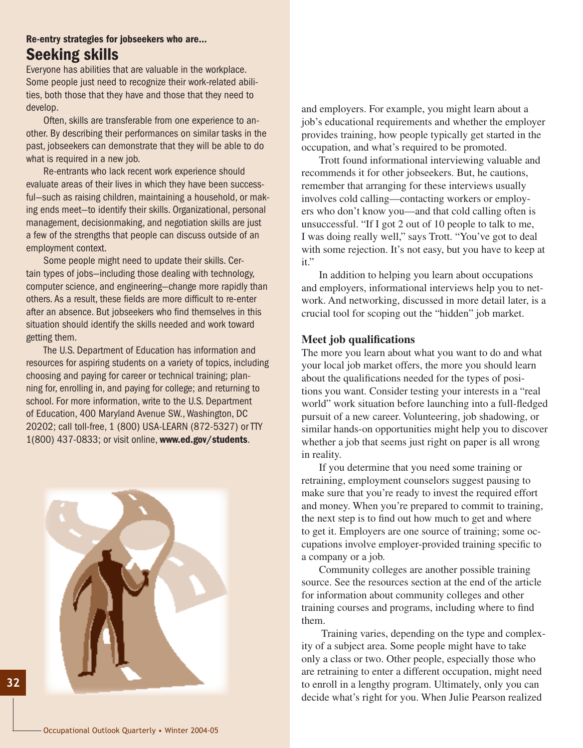# Re-entry strategies for jobseekers who are… Seeking skills

Everyone has abilities that are valuable in the workplace. Some people just need to recognize their work-related abilities, both those that they have and those that they need to develop.

Often, skills are transferable from one experience to another. By describing their performances on similar tasks in the past, jobseekers can demonstrate that they will be able to do what is required in a new job.

Re-entrants who lack recent work experience should evaluate areas of their lives in which they have been successful—such as raising children, maintaining a household, or making ends meet—to identify their skills. Organizational, personal management, decisionmaking, and negotiation skills are just a few of the strengths that people can discuss outside of an employment context.

Some people might need to update their skills. Certain types of jobs—including those dealing with technology, computer science, and engineering—change more rapidly than others. As a result, these fields are more difficult to re-enter after an absence. But jobseekers who find themselves in this situation should identify the skills needed and work toward getting them.

The U.S. Department of Education has information and resources for aspiring students on a variety of topics, including choosing and paying for career or technical training; planning for, enrolling in, and paying for college; and returning to school. For more information, write to the U.S. Department of Education, 400 Maryland Avenue SW., Washington, DC 20202; call toll-free, 1 (800) USA-LEARN (872-5327) or TTY 1(800) 437-0833; or visit online, www.ed.gov/students.



and employers. For example, you might learn about a job's educational requirements and whether the employer provides training, how people typically get started in the occupation, and what's required to be promoted.

Trott found informational interviewing valuable and recommends it for other jobseekers. But, he cautions, remember that arranging for these interviews usually involves cold calling—contacting workers or employers who don't know you—and that cold calling often is unsuccessful. "If I got 2 out of 10 people to talk to me, I was doing really well," says Trott. "You've got to deal with some rejection. It's not easy, but you have to keep at it."

In addition to helping you learn about occupations and employers, informational interviews help you to network. And networking, discussed in more detail later, is a crucial tool for scoping out the "hidden" job market.

#### **Meet job qualifications**

The more you learn about what you want to do and what your local job market offers, the more you should learn about the qualifications needed for the types of positions you want. Consider testing your interests in a "real world" work situation before launching into a full-fledged pursuit of a new career. Volunteering, job shadowing, or similar hands-on opportunities might help you to discover whether a job that seems just right on paper is all wrong in reality.

If you determine that you need some training or retraining, employment counselors suggest pausing to make sure that you're ready to invest the required effort and money. When you're prepared to commit to training, the next step is to find out how much to get and where to get it. Employers are one source of training; some occupations involve employer-provided training specific to a company or a job.

Community colleges are another possible training source. See the resources section at the end of the article for information about community colleges and other training courses and programs, including where to find them.

 Training varies, depending on the type and complexity of a subject area. Some people might have to take only a class or two. Other people, especially those who are retraining to enter a different occupation, might need to enroll in a lengthy program. Ultimately, only you can decide what's right for you. When Julie Pearson realized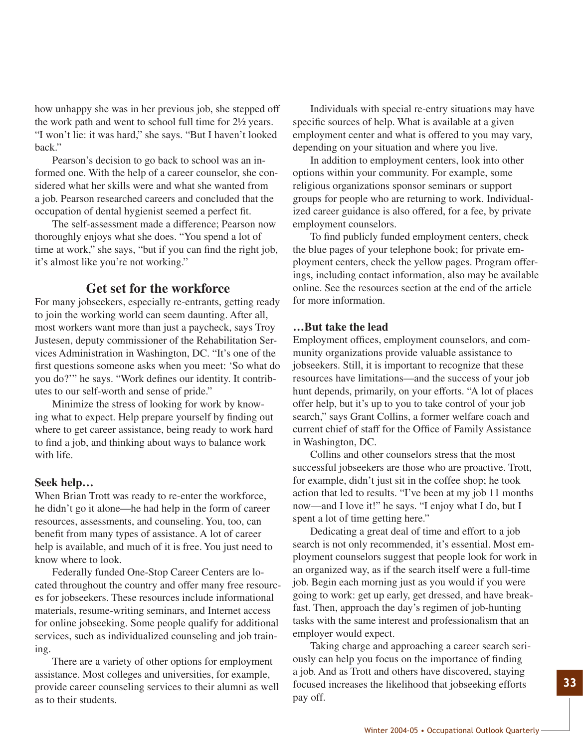how unhappy she was in her previous job, she stepped off the work path and went to school full time for 2½ years. "I won't lie: it was hard," she says. "But I haven't looked back."

Pearson's decision to go back to school was an informed one. With the help of a career counselor, she considered what her skills were and what she wanted from a job. Pearson researched careers and concluded that the occupation of dental hygienist seemed a perfect fit.

The self-assessment made a difference; Pearson now thoroughly enjoys what she does. "You spend a lot of time at work," she says, "but if you can find the right job, it's almost like you're not working."

## **Get set for the workforce**

For many jobseekers, especially re-entrants, getting ready to join the working world can seem daunting. After all, most workers want more than just a paycheck, says Troy Justesen, deputy commissioner of the Rehabilitation Services Administration in Washington, DC. "It's one of the first questions someone asks when you meet: 'So what do you do?'" he says. "Work defines our identity. It contributes to our self-worth and sense of pride."

Minimize the stress of looking for work by knowing what to expect. Help prepare yourself by finding out where to get career assistance, being ready to work hard to find a job, and thinking about ways to balance work with life.

#### **Seek help…**

When Brian Trott was ready to re-enter the workforce, he didn't go it alone—he had help in the form of career resources, assessments, and counseling. You, too, can benefit from many types of assistance. A lot of career help is available, and much of it is free. You just need to know where to look.

Federally funded One-Stop Career Centers are located throughout the country and offer many free resources for jobseekers. These resources include informational materials, resume-writing seminars, and Internet access for online jobseeking. Some people qualify for additional services, such as individualized counseling and job training.

There are a variety of other options for employment assistance. Most colleges and universities, for example, provide career counseling services to their alumni as well as to their students.

Individuals with special re-entry situations may have specific sources of help. What is available at a given employment center and what is offered to you may vary, depending on your situation and where you live.

In addition to employment centers, look into other options within your community. For example, some religious organizations sponsor seminars or support groups for people who are returning to work. Individualized career guidance is also offered, for a fee, by private employment counselors.

To find publicly funded employment centers, check the blue pages of your telephone book; for private employment centers, check the yellow pages. Program offerings, including contact information, also may be available online. See the resources section at the end of the article for more information.

#### **…But take the lead**

Employment offices, employment counselors, and community organizations provide valuable assistance to jobseekers. Still, it is important to recognize that these resources have limitations—and the success of your job hunt depends, primarily, on your efforts. "A lot of places offer help, but it's up to you to take control of your job search," says Grant Collins, a former welfare coach and current chief of staff for the Office of Family Assistance in Washington, DC.

Collins and other counselors stress that the most successful jobseekers are those who are proactive. Trott, for example, didn't just sit in the coffee shop; he took action that led to results. "I've been at my job 11 months now—and I love it!" he says. "I enjoy what I do, but I spent a lot of time getting here."

Dedicating a great deal of time and effort to a job search is not only recommended, it's essential. Most employment counselors suggest that people look for work in an organized way, as if the search itself were a full-time job. Begin each morning just as you would if you were going to work: get up early, get dressed, and have breakfast. Then, approach the day's regimen of job-hunting tasks with the same interest and professionalism that an employer would expect.

Taking charge and approaching a career search seriously can help you focus on the importance of finding a job. And as Trott and others have discovered, staying focused increases the likelihood that jobseeking efforts pay off.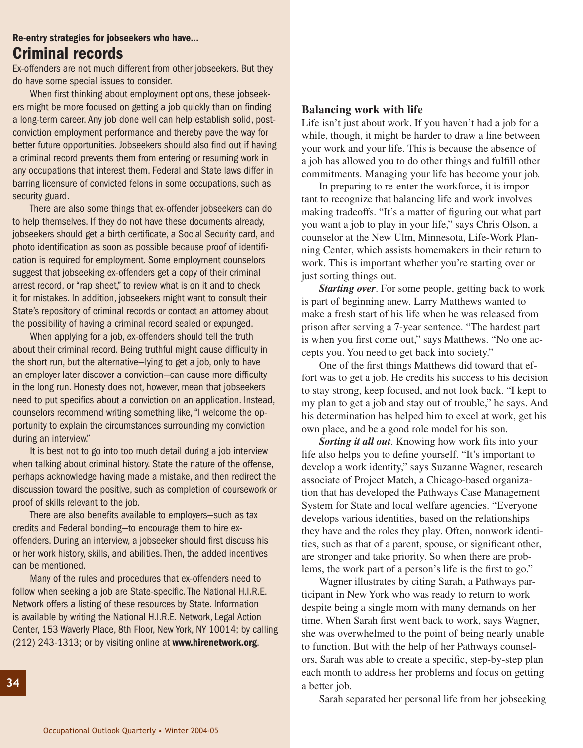## Re-entry strategies for jobseekers who have… Criminal records

Ex-offenders are not much different from other jobseekers. But they do have some special issues to consider.

When first thinking about employment options, these jobseekers might be more focused on getting a job quickly than on finding a long-term career. Any job done well can help establish solid, postconviction employment performance and thereby pave the way for better future opportunities. Jobseekers should also find out if having a criminal record prevents them from entering or resuming work in any occupations that interest them. Federal and State laws differ in barring licensure of convicted felons in some occupations, such as security guard.

There are also some things that ex-offender jobseekers can do to help themselves. If they do not have these documents already, jobseekers should get a birth certificate, a Social Security card, and photo identification as soon as possible because proof of identification is required for employment. Some employment counselors suggest that jobseeking ex-offenders get a copy of their criminal arrest record, or "rap sheet," to review what is on it and to check it for mistakes. In addition, jobseekers might want to consult their State's repository of criminal records or contact an attorney about the possibility of having a criminal record sealed or expunged.

When applying for a job, ex-offenders should tell the truth about their criminal record. Being truthful might cause difficulty in the short run, but the alternative—lying to get a job, only to have an employer later discover a conviction—can cause more difficulty in the long run. Honesty does not, however, mean that jobseekers need to put specifics about a conviction on an application. Instead, counselors recommend writing something like, "I welcome the opportunity to explain the circumstances surrounding my conviction during an interview."

It is best not to go into too much detail during a job interview when talking about criminal history. State the nature of the offense, perhaps acknowledge having made a mistake, and then redirect the discussion toward the positive, such as completion of coursework or proof of skills relevant to the job.

There are also benefits available to employers—such as tax credits and Federal bonding—to encourage them to hire exoffenders. During an interview, a jobseeker should first discuss his or her work history, skills, and abilities. Then, the added incentives can be mentioned.

Many of the rules and procedures that ex-offenders need to follow when seeking a job are State-specific. The National H.I.R.E. Network offers a listing of these resources by State. Information is available by writing the National H.I.R.E. Network, Legal Action Center, 153 Waverly Place, 8th Floor, New York, NY 10014; by calling (212) 243-1313; or by visiting online at www.hirenetwork.org.

## **Balancing work with life**

Life isn't just about work. If you haven't had a job for a while, though, it might be harder to draw a line between your work and your life. This is because the absence of a job has allowed you to do other things and fulfill other commitments. Managing your life has become your job.

In preparing to re-enter the workforce, it is important to recognize that balancing life and work involves making tradeoffs. "It's a matter of figuring out what part you want a job to play in your life," says Chris Olson, a counselor at the New Ulm, Minnesota, Life-Work Planning Center, which assists homemakers in their return to work. This is important whether you're starting over or just sorting things out.

*Starting over*. For some people, getting back to work is part of beginning anew. Larry Matthews wanted to make a fresh start of his life when he was released from prison after serving a 7-year sentence. "The hardest part is when you first come out," says Matthews. "No one accepts you. You need to get back into society."

One of the first things Matthews did toward that effort was to get a job. He credits his success to his decision to stay strong, keep focused, and not look back. "I kept to my plan to get a job and stay out of trouble," he says. And his determination has helped him to excel at work, get his own place, and be a good role model for his son.

*Sorting it all out*. Knowing how work fits into your life also helps you to define yourself. "It's important to develop a work identity," says Suzanne Wagner, research associate of Project Match, a Chicago-based organization that has developed the Pathways Case Management System for State and local welfare agencies. "Everyone develops various identities, based on the relationships they have and the roles they play. Often, nonwork identities, such as that of a parent, spouse, or significant other, are stronger and take priority. So when there are problems, the work part of a person's life is the first to go."

Wagner illustrates by citing Sarah, a Pathways participant in New York who was ready to return to work despite being a single mom with many demands on her time. When Sarah first went back to work, says Wagner, she was overwhelmed to the point of being nearly unable to function. But with the help of her Pathways counselors, Sarah was able to create a specific, step-by-step plan each month to address her problems and focus on getting a better job.

Sarah separated her personal life from her jobseeking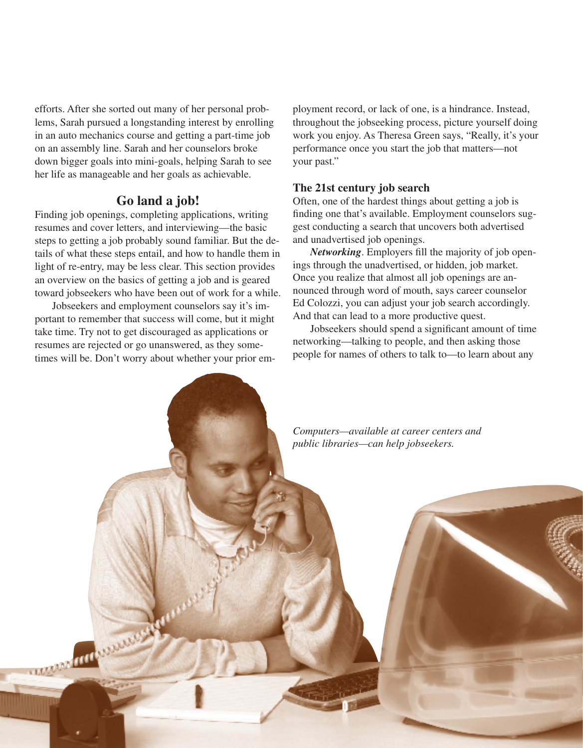efforts. After she sorted out many of her personal problems, Sarah pursued a longstanding interest by enrolling in an auto mechanics course and getting a part-time job on an assembly line. Sarah and her counselors broke down bigger goals into mini-goals, helping Sarah to see her life as manageable and her goals as achievable.

## **Go land a job!**

Finding job openings, completing applications, writing resumes and cover letters, and interviewing—the basic steps to getting a job probably sound familiar. But the details of what these steps entail, and how to handle them in light of re-entry, may be less clear. This section provides an overview on the basics of getting a job and is geared toward jobseekers who have been out of work for a while.

Jobseekers and employment counselors say it's important to remember that success will come, but it might take time. Try not to get discouraged as applications or resumes are rejected or go unanswered, as they sometimes will be. Don't worry about whether your prior employment record, or lack of one, is a hindrance. Instead, throughout the jobseeking process, picture yourself doing work you enjoy. As Theresa Green says, "Really, it's your performance once you start the job that matters—not your past."

## **The 21st century job search**

Often, one of the hardest things about getting a job is finding one that's available. Employment counselors suggest conducting a search that uncovers both advertised and unadvertised job openings.

*Networking*. Employers fill the majority of job openings through the unadvertised, or hidden, job market. Once you realize that almost all job openings are announced through word of mouth, says career counselor Ed Colozzi, you can adjust your job search accordingly. And that can lead to a more productive quest.

Jobseekers should spend a significant amount of time networking—talking to people, and then asking those people for names of others to talk to—to learn about any

*Computers—available at career centers and public libraries—can help jobseekers.*March 1919 March 2019 Winter 2004-05 • Outlook Quarterly Property and Outlook Quarterly Property and Outlook Quarterly Property and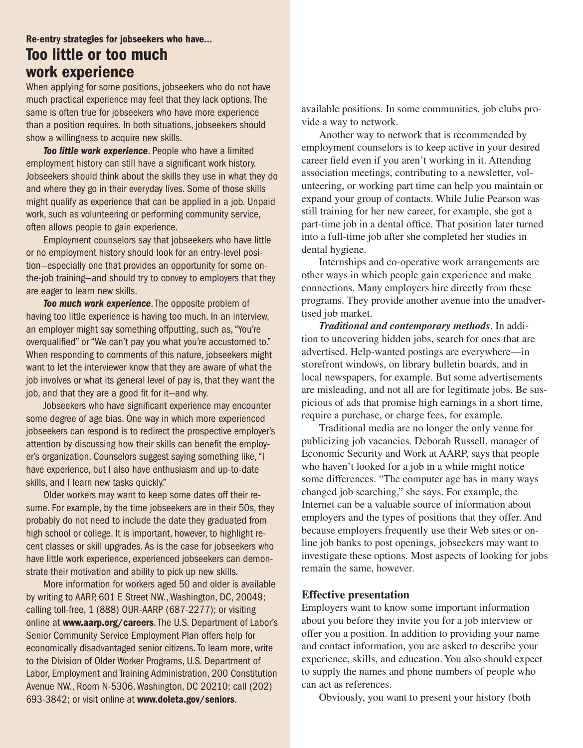# Re-entry strategies for jobseekers who have… Too little or too much work experience

When applying for some positions, jobseekers who do not have much practical experience may feel that they lack options. The same is often true for jobseekers who have more experience than a position requires. In both situations, jobseekers should show a willingness to acquire new skills.

*Too little work experience*. People who have a limited employment history can still have a significant work history. Jobseekers should think about the skills they use in what they do and where they go in their everyday lives. Some of those skills might qualify as experience that can be applied in a job. Unpaid work, such as volunteering or performing community service, often allows people to gain experience.

Employment counselors say that jobseekers who have little or no employment history should look for an entry-level position—especially one that provides an opportunity for some onthe-job training—and should try to convey to employers that they are eager to learn new skills.

*Too much work experience*. The opposite problem of having too little experience is having too much. In an interview, an employer might say something offputting, such as, "You're overqualified" or "We can't pay you what you're accustomed to." When responding to comments of this nature, jobseekers might want to let the interviewer know that they are aware of what the job involves or what its general level of pay is, that they want the job, and that they are a good fit for it—and why.

Jobseekers who have significant experience may encounter some degree of age bias. One way in which more experienced jobseekers can respond is to redirect the prospective employer's attention by discussing how their skills can benefit the employer's organization. Counselors suggest saying something like, "I have experience, but I also have enthusiasm and up-to-date skills, and I learn new tasks quickly."

Older workers may want to keep some dates off their resume. For example, by the time jobseekers are in their 50s, they probably do not need to include the date they graduated from high school or college. It is important, however, to highlight recent classes or skill upgrades. As is the case for jobseekers who have little work experience, experienced jobseekers can demonstrate their motivation and ability to pick up new skills.

More information for workers aged 50 and older is available by writing to AARP, 601 E Street NW., Washington, DC, 20049; calling toll-free, 1 (888) OUR-AARP (687-2277); or visiting online at www.aarp.org/careers. The U.S. Department of Labor's Senior Community Service Employment Plan offers help for economically disadvantaged senior citizens. To learn more, write to the Division of Older Worker Programs, U.S. Department of Labor, Employment and Training Administration, 200 Constitution Avenue NW., Room N-5306, Washington, DC 20210; call (202) 693-3842; or visit online at www.doleta.gov/seniors.

available positions. In some communities, job clubs provide a way to network.

Another way to network that is recommended by employment counselors is to keep active in your desired career field even if you aren't working in it. Attending association meetings, contributing to a newsletter, volunteering, or working part time can help you maintain or expand your group of contacts. While Julie Pearson was still training for her new career, for example, she got a part-time job in a dental office. That position later turned into a full-time job after she completed her studies in dental hygiene.

Internships and co-operative work arrangements are other ways in which people gain experience and make connections. Many employers hire directly from these programs. They provide another avenue into the unadvertised job market.

*Traditional and contemporary methods*. In addition to uncovering hidden jobs, search for ones that are advertised. Help-wanted postings are everywhere—in storefront windows, on library bulletin boards, and in local newspapers, for example. But some advertisements are misleading, and not all are for legitimate jobs. Be suspicious of ads that promise high earnings in a short time, require a purchase, or charge fees, for example.

Traditional media are no longer the only venue for publicizing job vacancies. Deborah Russell, manager of Economic Security and Work at AARP, says that people who haven't looked for a job in a while might notice some differences. "The computer age has in many ways changed job searching," she says. For example, the Internet can be a valuable source of information about employers and the types of positions that they offer. And because employers frequently use their Web sites or online job banks to post openings, jobseekers may want to investigate these options. Most aspects of looking for jobs remain the same, however.

#### **Effective presentation**

Employers want to know some important information about you before they invite you for a job interview or offer you a position. In addition to providing your name and contact information, you are asked to describe your experience, skills, and education. You also should expect to supply the names and phone numbers of people who can act as references.

Obviously, you want to present your history (both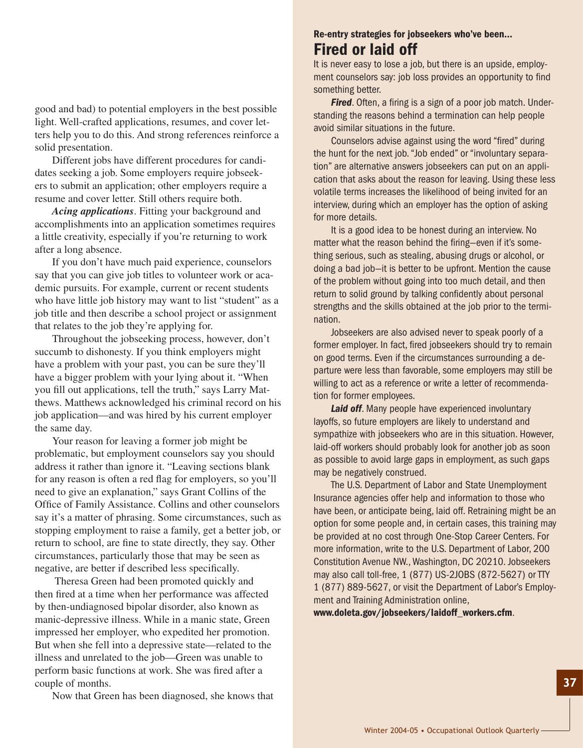good and bad) to potential employers in the best possible light. Well-crafted applications, resumes, and cover letters help you to do this. And strong references reinforce a solid presentation.

Different jobs have different procedures for candidates seeking a job. Some employers require jobseekers to submit an application; other employers require a resume and cover letter. Still others require both.

*Acing applications*. Fitting your background and accomplishments into an application sometimes requires a little creativity, especially if you're returning to work after a long absence.

If you don't have much paid experience, counselors say that you can give job titles to volunteer work or academic pursuits. For example, current or recent students who have little job history may want to list "student" as a job title and then describe a school project or assignment that relates to the job they're applying for.

Throughout the jobseeking process, however, don't succumb to dishonesty. If you think employers might have a problem with your past, you can be sure they'll have a bigger problem with your lying about it. "When you fill out applications, tell the truth," says Larry Matthews. Matthews acknowledged his criminal record on his job application—and was hired by his current employer the same day.

Your reason for leaving a former job might be problematic, but employment counselors say you should address it rather than ignore it. "Leaving sections blank for any reason is often a red flag for employers, so you'll need to give an explanation," says Grant Collins of the Office of Family Assistance. Collins and other counselors say it's a matter of phrasing. Some circumstances, such as stopping employment to raise a family, get a better job, or return to school, are fine to state directly, they say. Other circumstances, particularly those that may be seen as negative, are better if described less specifically.

 Theresa Green had been promoted quickly and then fired at a time when her performance was affected by then-undiagnosed bipolar disorder, also known as manic-depressive illness. While in a manic state, Green impressed her employer, who expedited her promotion. But when she fell into a depressive state—related to the illness and unrelated to the job—Green was unable to perform basic functions at work. She was fired after a couple of months.

Now that Green has been diagnosed, she knows that

# Re-entry strategies for jobseekers who've been… Fired or laid off

It is never easy to lose a job, but there is an upside, employment counselors say: job loss provides an opportunity to find something better.

*Fired*. Often, a firing is a sign of a poor job match. Understanding the reasons behind a termination can help people avoid similar situations in the future.

Counselors advise against using the word "fired" during the hunt for the next job. "Job ended" or "involuntary separation" are alternative answers jobseekers can put on an application that asks about the reason for leaving. Using these less volatile terms increases the likelihood of being invited for an interview, during which an employer has the option of asking for more details.

It is a good idea to be honest during an interview. No matter what the reason behind the firing—even if it's something serious, such as stealing, abusing drugs or alcohol, or doing a bad job—it is better to be upfront. Mention the cause of the problem without going into too much detail, and then return to solid ground by talking confidently about personal strengths and the skills obtained at the job prior to the termination.

Jobseekers are also advised never to speak poorly of a former employer. In fact, fired jobseekers should try to remain on good terms. Even if the circumstances surrounding a departure were less than favorable, some employers may still be willing to act as a reference or write a letter of recommendation for former employees.

**Laid off.** Many people have experienced involuntary layoffs, so future employers are likely to understand and sympathize with jobseekers who are in this situation. However, laid-off workers should probably look for another job as soon as possible to avoid large gaps in employment, as such gaps may be negatively construed.

The U.S. Department of Labor and State Unemployment Insurance agencies offer help and information to those who have been, or anticipate being, laid off. Retraining might be an option for some people and, in certain cases, this training may be provided at no cost through One-Stop Career Centers. For more information, write to the U.S. Department of Labor, 200 Constitution Avenue NW., Washington, DC 20210. Jobseekers may also call toll-free, 1 (877) US-2JOBS (872-5627) or TTY 1 (877) 889-5627, or visit the Department of Labor's Employment and Training Administration online,

www.doleta.gov/jobseekers/laidoff\_workers.cfm.

**37**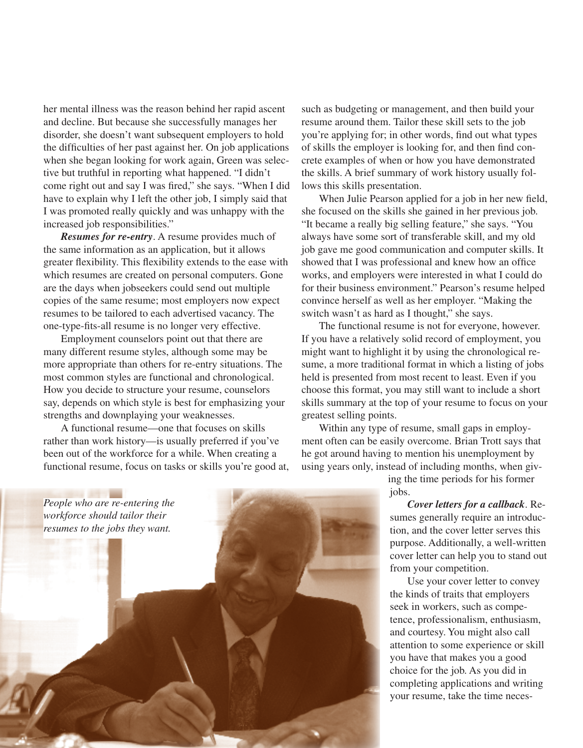her mental illness was the reason behind her rapid ascent and decline. But because she successfully manages her disorder, she doesn't want subsequent employers to hold the difficulties of her past against her. On job applications when she began looking for work again, Green was selective but truthful in reporting what happened. "I didn't come right out and say I was fired," she says. "When I did have to explain why I left the other job, I simply said that I was promoted really quickly and was unhappy with the increased job responsibilities."

*Resumes for re-entry*. A resume provides much of the same information as an application, but it allows greater flexibility. This flexibility extends to the ease with which resumes are created on personal computers. Gone are the days when jobseekers could send out multiple copies of the same resume; most employers now expect resumes to be tailored to each advertised vacancy. The one-type-fits-all resume is no longer very effective.

Employment counselors point out that there are many different resume styles, although some may be more appropriate than others for re-entry situations. The most common styles are functional and chronological. How you decide to structure your resume, counselors say, depends on which style is best for emphasizing your strengths and downplaying your weaknesses.

A functional resume—one that focuses on skills rather than work history—is usually preferred if you've been out of the workforce for a while. When creating a functional resume, focus on tasks or skills you're good at, such as budgeting or management, and then build your resume around them. Tailor these skill sets to the job you're applying for; in other words, find out what types of skills the employer is looking for, and then find concrete examples of when or how you have demonstrated the skills. A brief summary of work history usually follows this skills presentation.

When Julie Pearson applied for a job in her new field, she focused on the skills she gained in her previous job. "It became a really big selling feature," she says. "You always have some sort of transferable skill, and my old job gave me good communication and computer skills. It showed that I was professional and knew how an office works, and employers were interested in what I could do for their business environment." Pearson's resume helped convince herself as well as her employer. "Making the switch wasn't as hard as I thought," she says.

The functional resume is not for everyone, however. If you have a relatively solid record of employment, you might want to highlight it by using the chronological resume, a more traditional format in which a listing of jobs held is presented from most recent to least. Even if you choose this format, you may still want to include a short skills summary at the top of your resume to focus on your greatest selling points.

Within any type of resume, small gaps in employment often can be easily overcome. Brian Trott says that he got around having to mention his unemployment by using years only, instead of including months, when giv-

> ing the time periods for his former jobs.

*Cover letters for a callback*. Resumes generally require an introduction, and the cover letter serves this purpose. Additionally, a well-written cover letter can help you to stand out from your competition.

Use your cover letter to convey the kinds of traits that employers seek in workers, such as competence, professionalism, enthusiasm, and courtesy. You might also call attention to some experience or skill you have that makes you a good choice for the job. As you did in completing applications and writing your resume, take the time neces-



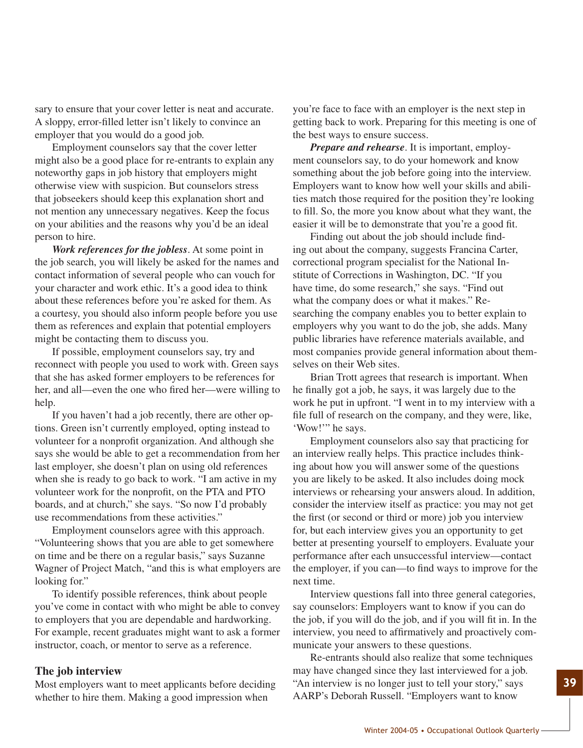sary to ensure that your cover letter is neat and accurate. A sloppy, error-filled letter isn't likely to convince an employer that you would do a good job.

Employment counselors say that the cover letter might also be a good place for re-entrants to explain any noteworthy gaps in job history that employers might otherwise view with suspicion. But counselors stress that jobseekers should keep this explanation short and not mention any unnecessary negatives. Keep the focus on your abilities and the reasons why you'd be an ideal person to hire.

*Work references for the jobless*. At some point in the job search, you will likely be asked for the names and contact information of several people who can vouch for your character and work ethic. It's a good idea to think about these references before you're asked for them. As a courtesy, you should also inform people before you use them as references and explain that potential employers might be contacting them to discuss you.

If possible, employment counselors say, try and reconnect with people you used to work with. Green says that she has asked former employers to be references for her, and all—even the one who fired her—were willing to help.

If you haven't had a job recently, there are other options. Green isn't currently employed, opting instead to volunteer for a nonprofit organization. And although she says she would be able to get a recommendation from her last employer, she doesn't plan on using old references when she is ready to go back to work. "I am active in my volunteer work for the nonprofit, on the PTA and PTO boards, and at church," she says. "So now I'd probably use recommendations from these activities."

Employment counselors agree with this approach. "Volunteering shows that you are able to get somewhere on time and be there on a regular basis," says Suzanne Wagner of Project Match, "and this is what employers are looking for."

To identify possible references, think about people you've come in contact with who might be able to convey to employers that you are dependable and hardworking. For example, recent graduates might want to ask a former instructor, coach, or mentor to serve as a reference.

#### **The job interview**

Most employers want to meet applicants before deciding whether to hire them. Making a good impression when

you're face to face with an employer is the next step in getting back to work. Preparing for this meeting is one of the best ways to ensure success.

*Prepare and rehearse*. It is important, employment counselors say, to do your homework and know something about the job before going into the interview. Employers want to know how well your skills and abilities match those required for the position they're looking to fill. So, the more you know about what they want, the easier it will be to demonstrate that you're a good fit.

Finding out about the job should include finding out about the company, suggests Francina Carter, correctional program specialist for the National Institute of Corrections in Washington, DC. "If you have time, do some research," she says. "Find out what the company does or what it makes." Researching the company enables you to better explain to employers why you want to do the job, she adds. Many public libraries have reference materials available, and most companies provide general information about themselves on their Web sites.

Brian Trott agrees that research is important. When he finally got a job, he says, it was largely due to the work he put in upfront. "I went in to my interview with a file full of research on the company, and they were, like, 'Wow!'" he says.

Employment counselors also say that practicing for an interview really helps. This practice includes thinking about how you will answer some of the questions you are likely to be asked. It also includes doing mock interviews or rehearsing your answers aloud. In addition, consider the interview itself as practice: you may not get the first (or second or third or more) job you interview for, but each interview gives you an opportunity to get better at presenting yourself to employers. Evaluate your performance after each unsuccessful interview—contact the employer, if you can—to find ways to improve for the next time.

Interview questions fall into three general categories, say counselors: Employers want to know if you can do the job, if you will do the job, and if you will fit in. In the interview, you need to affirmatively and proactively communicate your answers to these questions.

Re-entrants should also realize that some techniques may have changed since they last interviewed for a job. "An interview is no longer just to tell your story," says AARP's Deborah Russell. "Employers want to know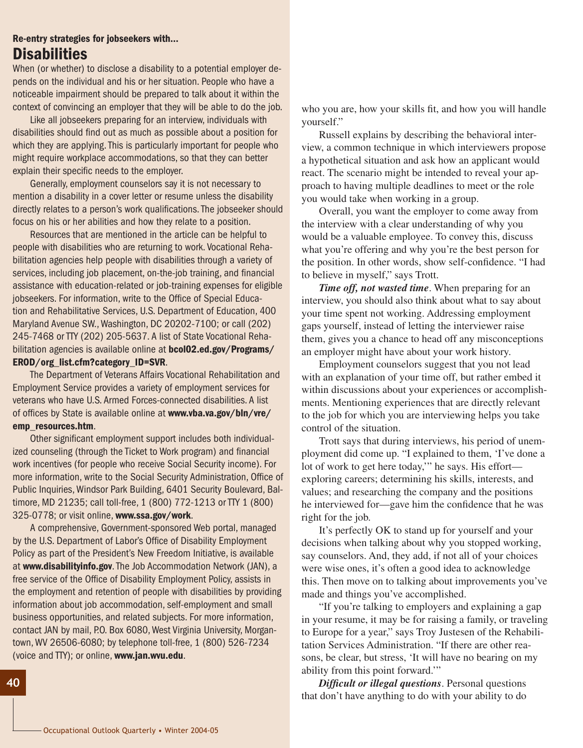## Re-entry strategies for jobseekers with… Disabilities

When (or whether) to disclose a disability to a potential employer depends on the individual and his or her situation. People who have a noticeable impairment should be prepared to talk about it within the context of convincing an employer that they will be able to do the job.

Like all jobseekers preparing for an interview, individuals with disabilities should find out as much as possible about a position for which they are applying. This is particularly important for people who might require workplace accommodations, so that they can better explain their specific needs to the employer.

Generally, employment counselors say it is not necessary to mention a disability in a cover letter or resume unless the disability directly relates to a person's work qualifications. The jobseeker should focus on his or her abilities and how they relate to a position.

Resources that are mentioned in the article can be helpful to people with disabilities who are returning to work. Vocational Rehabilitation agencies help people with disabilities through a variety of services, including job placement, on-the-job training, and financial assistance with education-related or job-training expenses for eligible jobseekers. For information, write to the Office of Special Education and Rehabilitative Services, U.S. Department of Education, 400 Maryland Avenue SW., Washington, DC 20202-7100; or call (202) 245-7468 or TTY (202) 205-5637. A list of State Vocational Rehabilitation agencies is available online at **bcol02.ed.gov/Programs/** EROD/org\_list.cfm?category\_ID=SVR.

The Department of Veterans Affairs Vocational Rehabilitation and Employment Service provides a variety of employment services for veterans who have U.S. Armed Forces-connected disabilities. A list of offices by State is available online at www.vba.va.gov/bln/vre/ emp\_resources.htm.

Other significant employment support includes both individualized counseling (through the Ticket to Work program) and financial work incentives (for people who receive Social Security income). For more information, write to the Social Security Administration, Office of Public Inquiries, Windsor Park Building, 6401 Security Boulevard, Baltimore, MD 21235; call toll-free, 1 (800) 772-1213 or TTY 1 (800) 325-0778; or visit online, www.ssa.gov/work.

A comprehensive, Government-sponsored Web portal, managed by the U.S. Department of Labor's Office of Disability Employment Policy as part of the President's New Freedom Initiative, is available at www.disabilityinfo.gov. The Job Accommodation Network (JAN), a free service of the Office of Disability Employment Policy, assists in the employment and retention of people with disabilities by providing information about job accommodation, self-employment and small business opportunities, and related subjects. For more information, contact JAN by mail, P.O. Box 6080, West Virginia University, Morgantown, WV 26506-6080; by telephone toll-free, 1 (800) 526-7234 (voice and TTY); or online, www.jan.wvu.edu.

who you are, how your skills fit, and how you will handle yourself."

Russell explains by describing the behavioral interview, a common technique in which interviewers propose a hypothetical situation and ask how an applicant would react. The scenario might be intended to reveal your approach to having multiple deadlines to meet or the role you would take when working in a group.

Overall, you want the employer to come away from the interview with a clear understanding of why you would be a valuable employee. To convey this, discuss what you're offering and why you're the best person for the position. In other words, show self-confidence. "I had to believe in myself," says Trott.

*Time off, not wasted time*. When preparing for an interview, you should also think about what to say about your time spent not working. Addressing employment gaps yourself, instead of letting the interviewer raise them, gives you a chance to head off any misconceptions an employer might have about your work history.

Employment counselors suggest that you not lead with an explanation of your time off, but rather embed it within discussions about your experiences or accomplishments. Mentioning experiences that are directly relevant to the job for which you are interviewing helps you take control of the situation.

Trott says that during interviews, his period of unemployment did come up. "I explained to them, 'I've done a lot of work to get here today,'" he says. His effort exploring careers; determining his skills, interests, and values; and researching the company and the positions he interviewed for—gave him the confidence that he was right for the job.

It's perfectly OK to stand up for yourself and your decisions when talking about why you stopped working, say counselors. And, they add, if not all of your choices were wise ones, it's often a good idea to acknowledge this. Then move on to talking about improvements you've made and things you've accomplished.

"If you're talking to employers and explaining a gap in your resume, it may be for raising a family, or traveling to Europe for a year," says Troy Justesen of the Rehabilitation Services Administration. "If there are other reasons, be clear, but stress, 'It will have no bearing on my ability from this point forward.'"

*Difficult or illegal questions*. Personal questions that don't have anything to do with your ability to do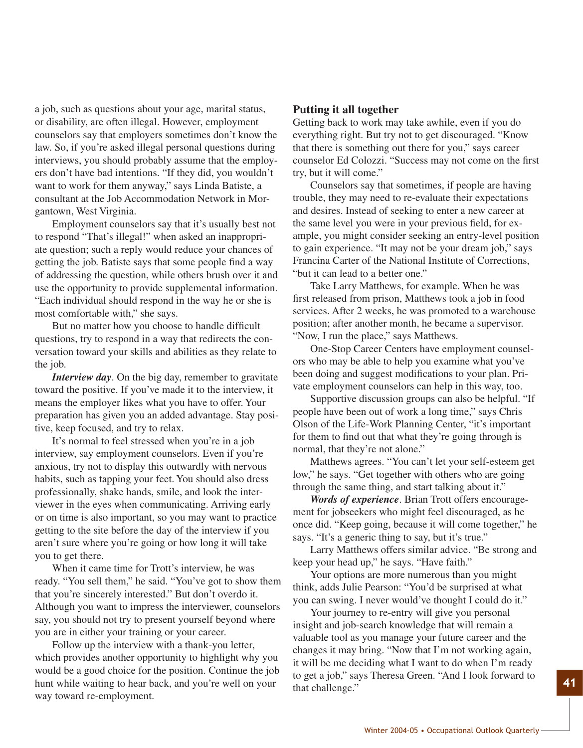a job, such as questions about your age, marital status, or disability, are often illegal. However, employment counselors say that employers sometimes don't know the law. So, if you're asked illegal personal questions during interviews, you should probably assume that the employers don't have bad intentions. "If they did, you wouldn't want to work for them anyway," says Linda Batiste, a consultant at the Job Accommodation Network in Morgantown, West Virginia.

Employment counselors say that it's usually best not to respond "That's illegal!" when asked an inappropriate question; such a reply would reduce your chances of getting the job. Batiste says that some people find a way of addressing the question, while others brush over it and use the opportunity to provide supplemental information. "Each individual should respond in the way he or she is most comfortable with," she says.

But no matter how you choose to handle difficult questions, try to respond in a way that redirects the conversation toward your skills and abilities as they relate to the job.

*Interview day*. On the big day, remember to gravitate toward the positive. If you've made it to the interview, it means the employer likes what you have to offer. Your preparation has given you an added advantage. Stay positive, keep focused, and try to relax.

It's normal to feel stressed when you're in a job interview, say employment counselors. Even if you're anxious, try not to display this outwardly with nervous habits, such as tapping your feet. You should also dress professionally, shake hands, smile, and look the interviewer in the eyes when communicating. Arriving early or on time is also important, so you may want to practice getting to the site before the day of the interview if you aren't sure where you're going or how long it will take you to get there.

When it came time for Trott's interview, he was ready. "You sell them," he said. "You've got to show them that you're sincerely interested." But don't overdo it. Although you want to impress the interviewer, counselors say, you should not try to present yourself beyond where you are in either your training or your career.

Follow up the interview with a thank-you letter, which provides another opportunity to highlight why you would be a good choice for the position. Continue the job hunt while waiting to hear back, and you're well on your way toward re-employment.

#### **Putting it all together**

Getting back to work may take awhile, even if you do everything right. But try not to get discouraged. "Know that there is something out there for you," says career counselor Ed Colozzi. "Success may not come on the first try, but it will come."

Counselors say that sometimes, if people are having trouble, they may need to re-evaluate their expectations and desires. Instead of seeking to enter a new career at the same level you were in your previous field, for example, you might consider seeking an entry-level position to gain experience. "It may not be your dream job," says Francina Carter of the National Institute of Corrections, "but it can lead to a better one."

Take Larry Matthews, for example. When he was first released from prison, Matthews took a job in food services. After 2 weeks, he was promoted to a warehouse position; after another month, he became a supervisor. "Now, I run the place," says Matthews.

One-Stop Career Centers have employment counselors who may be able to help you examine what you've been doing and suggest modifications to your plan. Private employment counselors can help in this way, too.

Supportive discussion groups can also be helpful. "If people have been out of work a long time," says Chris Olson of the Life-Work Planning Center, "it's important for them to find out that what they're going through is normal, that they're not alone."

Matthews agrees. "You can't let your self-esteem get low," he says. "Get together with others who are going through the same thing, and start talking about it."

*Words of experience*. Brian Trott offers encouragement for jobseekers who might feel discouraged, as he once did. "Keep going, because it will come together," he says. "It's a generic thing to say, but it's true."

Larry Matthews offers similar advice. "Be strong and keep your head up," he says. "Have faith."

Your options are more numerous than you might think, adds Julie Pearson: "You'd be surprised at what you can swing. I never would've thought I could do it."

Your journey to re-entry will give you personal insight and job-search knowledge that will remain a valuable tool as you manage your future career and the changes it may bring. "Now that I'm not working again, it will be me deciding what I want to do when I'm ready to get a job," says Theresa Green. "And I look forward to that challenge."